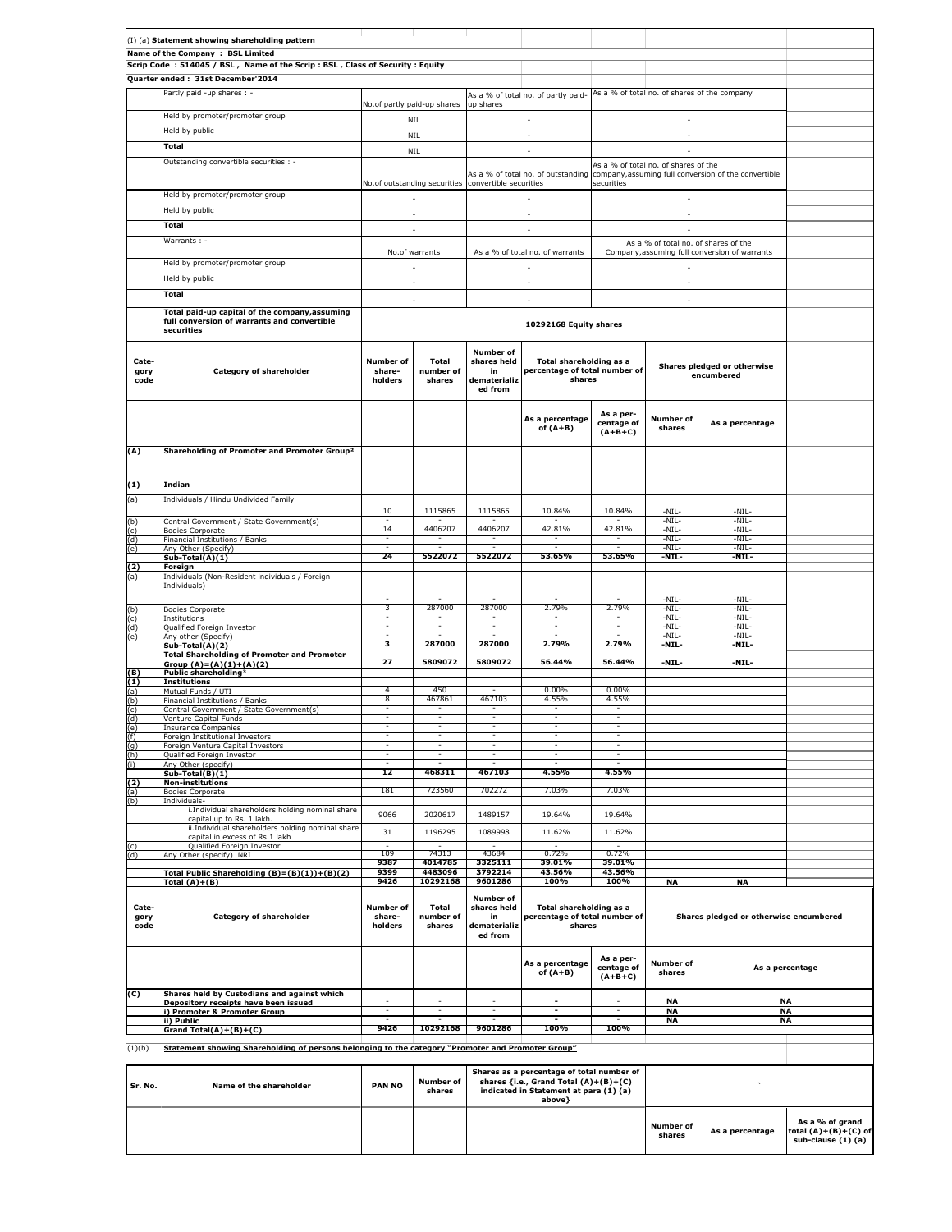|                       | (I) (a) Statement showing shareholding pattern                                                                   |                                |                              |                                                           |                                                                                                                                        |                                      |                                           |                                                                                         |                                                               |
|-----------------------|------------------------------------------------------------------------------------------------------------------|--------------------------------|------------------------------|-----------------------------------------------------------|----------------------------------------------------------------------------------------------------------------------------------------|--------------------------------------|-------------------------------------------|-----------------------------------------------------------------------------------------|---------------------------------------------------------------|
|                       | Name of the Company : BSL Limited<br>Scrip Code: 514045 / BSL, Name of the Scrip: BSL, Class of Security: Equity |                                |                              |                                                           |                                                                                                                                        |                                      |                                           |                                                                                         |                                                               |
|                       | Quarter ended: 31st December'2014                                                                                |                                |                              |                                                           |                                                                                                                                        |                                      |                                           |                                                                                         |                                                               |
|                       | Partly paid -up shares : -                                                                                       |                                |                              |                                                           | As a % of total no. of partly paid-                                                                                                    |                                      |                                           | As a % of total no. of shares of the company                                            |                                                               |
|                       |                                                                                                                  | No.of partly paid-up shares    |                              | up shares                                                 |                                                                                                                                        |                                      |                                           |                                                                                         |                                                               |
|                       | Held by promoter/promoter group                                                                                  |                                | NIL                          |                                                           | $\sim$                                                                                                                                 |                                      | $\sim$                                    |                                                                                         |                                                               |
|                       | Held by public                                                                                                   |                                | NIL                          |                                                           | $\overline{\phantom{a}}$                                                                                                               |                                      | $\overline{\phantom{a}}$                  |                                                                                         |                                                               |
|                       | <b>Total</b>                                                                                                     |                                | <b>NIL</b>                   |                                                           | ×.                                                                                                                                     |                                      | ×.                                        |                                                                                         |                                                               |
|                       | Outstanding convertible securities : -                                                                           |                                |                              |                                                           |                                                                                                                                        |                                      | As a % of total no. of shares of the      | As a % of total no. of outstanding company, assuming full conversion of the convertible |                                                               |
|                       |                                                                                                                  |                                |                              | No.of outstanding securities convertible securities       |                                                                                                                                        | securities                           |                                           |                                                                                         |                                                               |
|                       | Held by promoter/promoter group                                                                                  |                                | ×.                           |                                                           | ×.                                                                                                                                     |                                      | ×.                                        |                                                                                         |                                                               |
|                       | Held by public                                                                                                   |                                | ×.                           |                                                           | ÷.                                                                                                                                     |                                      | ×.                                        |                                                                                         |                                                               |
|                       | <b>Total</b>                                                                                                     |                                | $\overline{\phantom{a}}$     |                                                           | $\overline{\phantom{a}}$                                                                                                               |                                      | ×.                                        |                                                                                         |                                                               |
|                       | Warrants : -                                                                                                     |                                |                              |                                                           |                                                                                                                                        |                                      |                                           | As a % of total no. of shares of the                                                    |                                                               |
|                       | Held by promoter/promoter group                                                                                  |                                | No.of warrants               |                                                           | As a % of total no. of warrants                                                                                                        |                                      |                                           | Company, assuming full conversion of warrants                                           |                                                               |
|                       | Held by public                                                                                                   |                                | ÷.                           |                                                           | ÷.                                                                                                                                     |                                      | $\sim$                                    |                                                                                         |                                                               |
|                       | Total                                                                                                            |                                | $\overline{\phantom{a}}$     |                                                           | $\overline{\phantom{a}}$                                                                                                               |                                      | $\overline{\phantom{a}}$                  |                                                                                         |                                                               |
|                       |                                                                                                                  |                                | ×.                           |                                                           | ÷                                                                                                                                      |                                      | ÷.                                        |                                                                                         |                                                               |
|                       | Total paid-up capital of the company, assuming<br>full conversion of warrants and convertible<br>securities      |                                | 10292168 Equity shares       |                                                           |                                                                                                                                        |                                      |                                           |                                                                                         |                                                               |
| Cate-<br>gory<br>code | Category of shareholder                                                                                          | Number of<br>share-<br>holders | Total<br>number of<br>shares | Number of<br>shares held<br>in<br>dematerializ<br>ed from | Total shareholding as a<br>percentage of total number of<br>shares                                                                     |                                      | Shares pledged or otherwise<br>encumbered |                                                                                         |                                                               |
| (A)                   | Shareholding of Promoter and Promoter Group <sup>2</sup>                                                         |                                |                              |                                                           | As a percentage<br>of $(A+B)$                                                                                                          | As a per-<br>centage of<br>$(A+B+C)$ | Number of<br>shares                       | As a percentage                                                                         |                                                               |
|                       |                                                                                                                  |                                |                              |                                                           |                                                                                                                                        |                                      |                                           |                                                                                         |                                                               |
| (1)                   | Indian                                                                                                           |                                |                              |                                                           |                                                                                                                                        |                                      |                                           |                                                                                         |                                                               |
|                       | Individuals / Hindu Undivided Family                                                                             |                                |                              |                                                           |                                                                                                                                        |                                      |                                           |                                                                                         |                                                               |
|                       | Central Government / State Government(s)                                                                         | 10                             | 1115865                      | 1115865                                                   | 10.84%                                                                                                                                 | 10.84%                               | -NIL-<br>-NIL-                            | -NIL-<br>-NIL-                                                                          |                                                               |
|                       | <b>Bodies Corporate</b>                                                                                          | 14<br>Ξ                        | 4406207                      | 4406207                                                   | 42.81%                                                                                                                                 | 42.81%                               | -NIL-                                     | -NIL-                                                                                   |                                                               |
|                       | Financial Institutions / Banks<br>Any Other (Specify)                                                            |                                |                              |                                                           |                                                                                                                                        |                                      | -NIL-<br>-NIL-                            | -NIL-<br>-NIL-                                                                          |                                                               |
|                       | Sub-Total(A)(1)                                                                                                  | 24                             | 5522072                      | 5522072                                                   | 53.65%                                                                                                                                 | 53.65%                               | -NIL-                                     | -NIL-                                                                                   |                                                               |
|                       | Foreign<br>Individuals (Non-Resident individuals / Foreign<br>Individuals)                                       |                                |                              |                                                           |                                                                                                                                        |                                      |                                           |                                                                                         |                                                               |
|                       | <b>Bodies Corporate</b>                                                                                          | 3                              | 287000                       | 287000                                                    | 2.79%                                                                                                                                  | 2.79%                                | $-NIL-$<br>-NIL-                          | $-NIL-$<br>$-NIL-$                                                                      |                                                               |
|                       | Institutions                                                                                                     | Ξ<br>Ξ                         | Ξ                            | Ξ                                                         | Ξ<br>H                                                                                                                                 | Ξ<br>Ξ                               | -NIL-<br>-NIL-                            | $-NIL-$<br>-NIL-                                                                        |                                                               |
|                       | Qualified Foreign Investor<br>Any other (Specify)                                                                | ٠                              |                              |                                                           |                                                                                                                                        |                                      | -NIL-                                     | -NIL-                                                                                   |                                                               |
|                       | Sub-Total(A)(2)<br><b>Total Shareholding of Promoter and Promoter</b>                                            | з                              | 287000                       | 287000                                                    | 2.79%                                                                                                                                  | 2.79%                                | -NIL-                                     | -NIL-                                                                                   |                                                               |
|                       | Group $(A)=(A)(1)+(A)(2)$                                                                                        | 27                             | 5809072                      | 5809072                                                   | 56.44%                                                                                                                                 | 56.44%                               | -NIL-                                     | -NIL-                                                                                   |                                                               |
| (1)                   | Public shareholding <sup>3</sup><br><b>Institutions</b>                                                          |                                |                              |                                                           |                                                                                                                                        |                                      |                                           |                                                                                         |                                                               |
|                       | Mutual Funds / UTI<br>Financial Institutions / Banks                                                             | 4<br>8                         | 450<br>467861                | 467103                                                    | $0.00\%$<br>4.55%                                                                                                                      | $0.00\%$<br>4.55%                    |                                           |                                                                                         |                                                               |
|                       | Central Government / State Government(s)                                                                         | ٠                              | $\overline{\phantom{a}}$     | ۰.                                                        | $\sim$                                                                                                                                 | Ξ.                                   |                                           |                                                                                         |                                                               |
|                       | Venture Capital Funds<br>Insurance Companies                                                                     |                                |                              |                                                           |                                                                                                                                        |                                      |                                           |                                                                                         |                                                               |
|                       | Foreign Institutional Investors                                                                                  |                                |                              |                                                           |                                                                                                                                        |                                      |                                           |                                                                                         |                                                               |
|                       | Foreign Venture Capital Investors<br>Qualified Foreign Investor                                                  |                                |                              |                                                           |                                                                                                                                        |                                      |                                           |                                                                                         |                                                               |
|                       | Any Other (specify)<br>$Sub-Total(B)(1)$                                                                         | 12                             | 468311                       | 467103                                                    | 4.55%                                                                                                                                  | 4.55%                                |                                           |                                                                                         |                                                               |
|                       | <b>Non-institutions</b>                                                                                          |                                |                              |                                                           |                                                                                                                                        |                                      |                                           |                                                                                         |                                                               |
|                       | <b>Bodies Corporate</b><br>Individuals-                                                                          | 181                            | 723560                       | 702272                                                    | 7.03%                                                                                                                                  | 7.03%                                |                                           |                                                                                         |                                                               |
|                       | i.Individual shareholders holding nominal share                                                                  | 9066                           | 2020617                      | 1489157                                                   | 19.64%                                                                                                                                 | 19.64%                               |                                           |                                                                                         |                                                               |
|                       | capital up to Rs. 1 lakh.<br>ii.Individual shareholders holding nominal share                                    | 31                             | 1196295                      | 1089998                                                   | 11.62%                                                                                                                                 | 11.62%                               |                                           |                                                                                         |                                                               |
|                       | capital in excess of Rs.1 lakh<br>Qualified Foreign Investor                                                     |                                |                              |                                                           |                                                                                                                                        |                                      |                                           |                                                                                         |                                                               |
|                       | Any Other (specify) NRI                                                                                          | 109                            | 74313                        | 43684                                                     | 0.72%                                                                                                                                  | 0.72%                                |                                           |                                                                                         |                                                               |
|                       | Total Public Shareholding (B)=(B)(1))+(B)(2)                                                                     | 9387<br>9399                   | 4014785<br>4483096           | 3325111<br>3792214                                        | 39.01%<br>43.56%                                                                                                                       | 39.01%<br>43.56%                     |                                           |                                                                                         |                                                               |
|                       | Total $(A)+(B)$                                                                                                  | 9426                           | 10292168                     | 9601286                                                   | 100%                                                                                                                                   | 100%                                 | <b>NA</b>                                 | <b>NA</b>                                                                               |                                                               |
| Cate-<br>gory<br>code | Category of shareholder                                                                                          | Number of<br>share-<br>holders | Total<br>number of<br>shares | Number of<br>shares held<br>in<br>dematerializ<br>ed from | Total shareholding as a<br>percentage of total number of<br>shares                                                                     |                                      | Shares pledged or otherwise encumbered    |                                                                                         |                                                               |
| (C)                   | Shares held by Custodians and against which                                                                      |                                |                              |                                                           | As a percentage<br>of $(A+B)$                                                                                                          | As a per-<br>centage of<br>$(A+B+C)$ | Number of<br>shares                       |                                                                                         | As a percentage                                               |
|                       | Depository receipts have been issued                                                                             |                                |                              |                                                           |                                                                                                                                        |                                      | NA                                        |                                                                                         | ΝA                                                            |
|                       | i) Promoter & Promoter Group<br>ii) Public                                                                       |                                |                              |                                                           |                                                                                                                                        |                                      | NA<br><b>NA</b>                           |                                                                                         | NA<br><b>NA</b>                                               |
|                       | Grand Total(A)+(B)+(C)                                                                                           | 9426                           | 10292168                     | 9601286                                                   | 100%                                                                                                                                   | 100%                                 |                                           |                                                                                         |                                                               |
| (1)(b)                | Statement showing Shareholding of persons belonging to the category "Promoter and Promoter Group"                |                                |                              |                                                           |                                                                                                                                        |                                      |                                           |                                                                                         |                                                               |
| Sr. No.               | Name of the shareholder                                                                                          | <b>PAN NO</b>                  | Number of<br>shares          |                                                           | Shares as a percentage of total number of<br>shares {i.e., Grand Total (A)+(B)+(C)<br>indicated in Statement at para (1) (a)<br>above} |                                      |                                           |                                                                                         |                                                               |
|                       |                                                                                                                  |                                |                              |                                                           |                                                                                                                                        |                                      | <b>Number of</b><br>shares                | As a percentage                                                                         | As a % of grand<br>total (A)+(B)+(C) of<br>sub-clause (1) (a) |